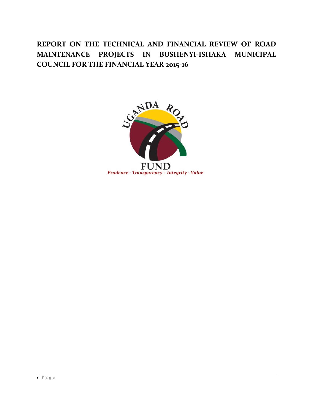# **REPORT ON THE TECHNICAL AND FINANCIAL REVIEW OF ROAD MAINTENANCE PROJECTS IN BUSHENYI-ISHAKA MUNICIPAL COUNCIL FOR THE FINANCIAL YEAR 2015-16**

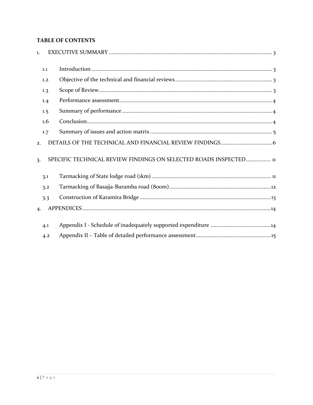## **TABLE OF CONTENTS**

| $\mathbf{1}$ . |                                                                   |
|----------------|-------------------------------------------------------------------|
| 1.1            |                                                                   |
| 1.2            |                                                                   |
| 1.3            |                                                                   |
| 1.4            |                                                                   |
| 1.5            |                                                                   |
| 1.6            |                                                                   |
| 1.7            |                                                                   |
| 2.             |                                                                   |
| 3.             | SPECIFIC TECHNICAL REVIEW FINDINGS ON SELECTED ROADS INSPECTED 11 |
| 3.1            |                                                                   |
| 3.2            |                                                                   |
| 3.3            |                                                                   |
| 4.             |                                                                   |
| 4.1            |                                                                   |
| 4.2            |                                                                   |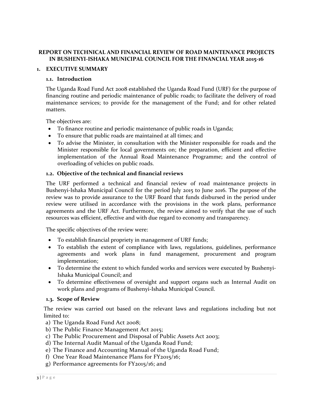## **REPORT ON TECHNICAL AND FINANCIAL REVIEW OF ROAD MAINTENANCE PROJECTS IN BUSHENYI-ISHAKA MUNICIPAL COUNCIL FOR THE FINANCIAL YEAR 2015-16**

#### <span id="page-2-1"></span><span id="page-2-0"></span>**1. EXECUTIVE SUMMARY**

#### **1.1. Introduction**

The Uganda Road Fund Act 2008 established the Uganda Road Fund (URF) for the purpose of financing routine and periodic maintenance of public roads; to facilitate the delivery of road maintenance services; to provide for the management of the Fund; and for other related matters.

The objectives are:

- To finance routine and periodic maintenance of public roads in Uganda;
- To ensure that public roads are maintained at all times; and
- To advise the Minister, in consultation with the Minister responsible for roads and the Minister responsible for local governments on; the preparation, efficient and effective implementation of the Annual Road Maintenance Programme; and the control of overloading of vehicles on public roads.

#### <span id="page-2-2"></span>**1.2. Objective of the technical and financial reviews**

The URF performed a technical and financial review of road maintenance projects in Bushenyi-Ishaka Municipal Council for the period July 2015 to June 2016. The purpose of the review was to provide assurance to the URF Board that funds disbursed in the period under review were utilised in accordance with the provisions in the work plans, performance agreements and the URF Act. Furthermore, the review aimed to verify that the use of such resources was efficient, effective and with due regard to economy and transparency.

The specific objectives of the review were:

- To establish financial propriety in management of URF funds;
- To establish the extent of compliance with laws, regulations, guidelines, performance agreements and work plans in fund management, procurement and program implementation;
- To determine the extent to which funded works and services were executed by Bushenyi-Ishaka Municipal Council; and
- To determine effectiveness of oversight and support organs such as Internal Audit on work plans and programs of Bushenyi-Ishaka Municipal Council.

#### <span id="page-2-3"></span>**1.3. Scope of Review**

The review was carried out based on the relevant laws and regulations including but not limited to:

- a) The Uganda Road Fund Act 2008;
- b) The Public Finance Management Act 2015;
- c) The Public Procurement and Disposal of Public Assets Act 2003;
- d) The Internal Audit Manual of the Uganda Road Fund;
- e) The Finance and Accounting Manual of the Uganda Road Fund;
- f) One Year Road Maintenance Plans for FY2015/16;
- g) Performance agreements for FY2015/16; and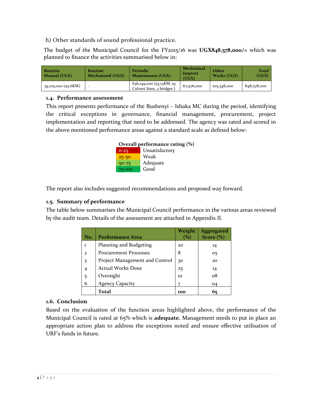h) Other standards of sound professional practice.

The budget of the Municipal Council for the FY2015/16 was **UGX848,578,000/=** which was planned to finance the activities summarised below in:

| Routine<br>Manual (UGX) | Routine<br>Mechanised (UGX) | Periodic<br><b>Maintenance (UGX)</b>                 | Mechanical<br>Imprest<br>(UGX) | Other<br>Works (UGX) | <b>Total</b><br>(UGX) |
|-------------------------|-----------------------------|------------------------------------------------------|--------------------------------|----------------------|-----------------------|
| 39,105,000 (95.6KM)     | $\overline{\phantom{a}}$    | 636,149,000 (53.13KM, 19<br>Culvert lines, 2 bridges | 67,976,000                     | 105,348,000          | 848,578,000           |

## <span id="page-3-0"></span>**1.4. Performance assessment**

This report presents performance of the Bushenyi – Ishaka MC during the period, identifying the critical exceptions in governance, financial management, procurement, project implementation and reporting that need to be addressed. The agency was rated and scored in the above mentioned performance areas against a standard scale as defined below:



The report also includes suggested recommendations and proposed way forward.

## <span id="page-3-1"></span>**1.5. Summary of performance**

The table below summarises the Municipal Council performance in the various areas reviewed by the audit team. Details of the assessment are attached in Appendix II.

| No.          | Performance Area               | Weight<br>(%) | <b>Aggregated</b><br>Score $(\% )$ |
|--------------|--------------------------------|---------------|------------------------------------|
| 1            | Planning and Budgeting         | 20            | 14                                 |
| $\mathbf{z}$ | <b>Procurement Processes</b>   | 8             | 05                                 |
| 3            | Project Management and Control | 30            | 20                                 |
| 4            | <b>Actual Works Done</b>       | 25            | 14                                 |
| 5            | Oversight                      | 10            | ο8                                 |
| 6            | <b>Agency Capacity</b>         |               | 04                                 |
|              | Total                          | 100           | 65                                 |

## <span id="page-3-2"></span>**1.6. Conclusion**

Based on the evaluation of the function areas highlighted above, the performance of the Municipal Council is rated at 65% which is **adequate.** Management needs to put in place an appropriate action plan to address the exceptions noted and ensure effective utilisation of URF's funds in future.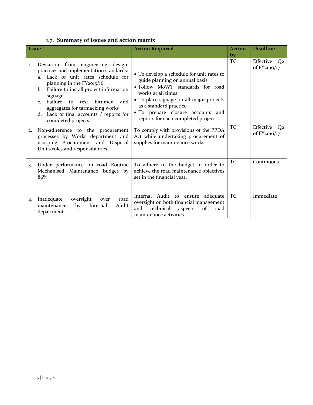<span id="page-4-0"></span>

|  |  | 1.7. Summary of issues and action matrix |  |  |  |
|--|--|------------------------------------------|--|--|--|
|--|--|------------------------------------------|--|--|--|

| <b>Issue</b> |                                                                                                                                                                                                                                                                                                                                                                                                      | <b>Action Required</b>                                                                                                                                                                                                                                                                  | <b>Action</b><br><b>by</b> | <b>Deadline</b>                             |
|--------------|------------------------------------------------------------------------------------------------------------------------------------------------------------------------------------------------------------------------------------------------------------------------------------------------------------------------------------------------------------------------------------------------------|-----------------------------------------------------------------------------------------------------------------------------------------------------------------------------------------------------------------------------------------------------------------------------------------|----------------------------|---------------------------------------------|
| 1.           | Deviation from engineering design,<br>practices and implementation standards:<br>Lack of unit rates schedule for<br>$a_{1}$<br>planning in the FY2015/16,<br>Failure to install project information<br>b.<br>signage<br>Failure<br>and<br>$\mathsf{to}$<br>bitumen<br>test<br>C <sub>1</sub><br>aggregates for tarmacking works<br>Lack of final accounts / reports for<br>d.<br>completed projects. | • To develop a schedule for unit rates to<br>guide planning on annual basis<br>· Follow MoWT standards for road<br>works at all times<br>• To place signage on all major projects<br>as a standard practice<br>• To prepare closure accounts and<br>reports for each completed project. | TC                         | Effective<br>Q2<br>of FY2016/17             |
| 2.           | Non-adherence to the procurement<br>processes by Works department and<br>usurping Procurement and Disposal<br>Unit's roles and responsibilities                                                                                                                                                                                                                                                      | To comply with provisions of the PPDA<br>Act while undertaking procurement of<br>supplies for maintenance works.                                                                                                                                                                        | TC                         | Effective<br>Q <sub>2</sub><br>of FY2016/17 |
| 3.           | Under performance on road Routine<br>Mechanised Maintenance budget by<br>86%                                                                                                                                                                                                                                                                                                                         | To adhere to the budget in order to<br>achieve the road maintenance objectives<br>set in the financial year.                                                                                                                                                                            | TC                         | Continuous                                  |
| 4.           | road<br>oversight<br>Inadequate<br>over<br>maintenance<br>Internal<br>by<br>Audit<br>department.                                                                                                                                                                                                                                                                                                     | Internal Audit to ensure adequate<br>oversight on both financial management<br>technical<br>and<br>of<br>aspects<br>road<br>maintenance activities.                                                                                                                                     | TC                         | Immediate                                   |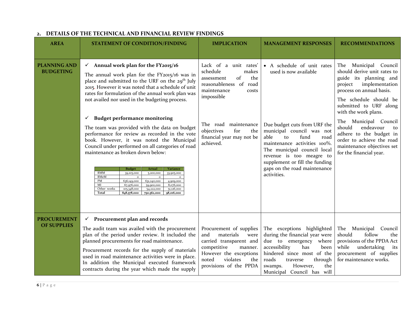<span id="page-5-0"></span>

| <b>AREA</b>                              | <b>STATEMENT OF CONDITION/FINDING</b>                                                                                                                                                                                                                                                                                                                                                                                                                                                                                                                                                                                                                                                                                                                                                                                                                                                                                                                                    | <b>IMPLICATION</b>                                                                                                                                                                                                                        | <b>MANAGEMENT RESPONSES</b>                                                                                                                                                                                                                                                                                                | <b>RECOMMENDATIONS</b>                                                                                                                                                                                                                                                                                                                                                                           |
|------------------------------------------|--------------------------------------------------------------------------------------------------------------------------------------------------------------------------------------------------------------------------------------------------------------------------------------------------------------------------------------------------------------------------------------------------------------------------------------------------------------------------------------------------------------------------------------------------------------------------------------------------------------------------------------------------------------------------------------------------------------------------------------------------------------------------------------------------------------------------------------------------------------------------------------------------------------------------------------------------------------------------|-------------------------------------------------------------------------------------------------------------------------------------------------------------------------------------------------------------------------------------------|----------------------------------------------------------------------------------------------------------------------------------------------------------------------------------------------------------------------------------------------------------------------------------------------------------------------------|--------------------------------------------------------------------------------------------------------------------------------------------------------------------------------------------------------------------------------------------------------------------------------------------------------------------------------------------------------------------------------------------------|
| <b>PLANNING AND</b><br><b>BUDGETING</b>  | $\checkmark$ Annual work plan for the FY2015/16<br>The annual work plan for the FY2015/16 was in<br>place and submitted to the URF on the 29 <sup>th</sup> July<br>2015. However it was noted that a schedule of unit<br>rates for formulation of the annual work plan was<br>not availed nor used in the budgeting process.<br><b>Budget performance monitoring</b><br>$\checkmark$<br>The team was provided with the data on budget<br>performance for review as recorded in the vote<br>book. However, it was noted the Municipal<br>Council under performed on all categories of road<br>maintenance as broken down below:<br><b>Variance</b><br><b>Budget</b><br><b>Actual</b><br><b>RMM</b><br>39,105,000<br>5,200,000<br>33,905,000<br><b>RMeM</b><br>PM<br>636,149,000<br>631,240,000<br>4,909,000<br>MI<br>67,976,000<br>8,076,000<br>59,900,000<br>Other works<br>105,348,000<br>51,126,000<br>54,222,000<br>848,578,000<br>Total<br>750,562,000<br>98,016,000 | Lack of a<br>unit rates'<br>schedule<br>makes<br>the<br>of<br>assessment<br>reasonableness of road<br>maintenance<br>costs<br>impossible<br>maintenance<br>The road<br>for<br>objectives<br>the<br>financial year may not be<br>achieved. | • A schedule of unit rates<br>used is now available<br>Due budget cuts from URF the<br>municipal council was not<br>able<br>fund<br>road<br>to<br>maintenance activities 100%.<br>The municipal council local<br>revenue is too meagre to<br>supplement or fill the funding<br>gaps on the road maintenance<br>activities. | The<br>Municipal Council<br>should derive unit rates to<br>guide its planning and<br>implementation<br>project<br>process on annual basis.<br>The schedule should be<br>submitted to URF along<br>with the work plans.<br>Municipal Council<br>The<br>should<br>endeavour<br>to<br>adhere to the budget in<br>order to achieve the road<br>maintenance objectives set<br>for the financial year. |
| <b>PROCUREMENT</b><br><b>OF SUPPLIES</b> | $\checkmark$ Procurement plan and records<br>The audit team was availed with the procurement<br>plan of the period under review. It included the<br>planned procurements for road maintenance.<br>Procurement records for the supply of materials<br>used in road maintenance activities were in place.<br>In addition the Municipal executed framework<br>contracts during the year which made the supply                                                                                                                                                                                                                                                                                                                                                                                                                                                                                                                                                               | Procurement of supplies<br>materials<br>and<br>were<br>carried transparent and<br>competitive<br>manner.<br>However the exceptions<br>violates<br>noted<br>the<br>provisions of the PPDA                                                  | The exceptions highlighted<br>during the financial year were<br>due to emergency where<br>accessibility<br>has<br>been<br>hindered since most of the<br>roads<br>through<br>traverse<br>the<br>However,<br>swamps.<br>Municipal Council has will                                                                           | The<br>Municipal Council<br>should<br>follow<br>the<br>provisions of the PPDA Act<br>while<br>undertaking<br>its<br>procurement of supplies<br>for maintenance works.                                                                                                                                                                                                                            |

## **2. DETAILS OF THE TECHNICAL AND FINANCIAL REVIEW FINDINGS**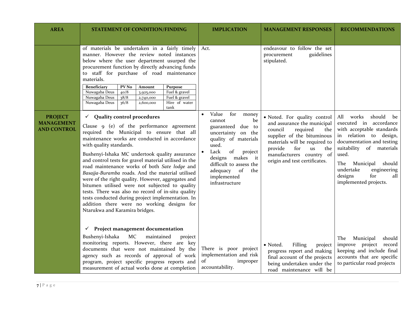| <b>AREA</b>                                               | <b>STATEMENT OF CONDITION/FINDING</b>                                                                                                                                                                                                                                                                                                                                                                                                                                                                                                                                                                                                                                                                                                                                                                                                                                                                                                                                                                                                                                                                                                                                                                                          | <b>IMPLICATION</b>                                                                                                                                                                                                                                             | <b>MANAGEMENT RESPONSES</b>                                                                                                                                                                                                                                                                                                                   | <b>RECOMMENDATIONS</b>                                                                                                                                                                                                                                                                |
|-----------------------------------------------------------|--------------------------------------------------------------------------------------------------------------------------------------------------------------------------------------------------------------------------------------------------------------------------------------------------------------------------------------------------------------------------------------------------------------------------------------------------------------------------------------------------------------------------------------------------------------------------------------------------------------------------------------------------------------------------------------------------------------------------------------------------------------------------------------------------------------------------------------------------------------------------------------------------------------------------------------------------------------------------------------------------------------------------------------------------------------------------------------------------------------------------------------------------------------------------------------------------------------------------------|----------------------------------------------------------------------------------------------------------------------------------------------------------------------------------------------------------------------------------------------------------------|-----------------------------------------------------------------------------------------------------------------------------------------------------------------------------------------------------------------------------------------------------------------------------------------------------------------------------------------------|---------------------------------------------------------------------------------------------------------------------------------------------------------------------------------------------------------------------------------------------------------------------------------------|
| <b>PROJECT</b><br><b>MANAGEMENT</b><br><b>AND CONTROL</b> | of materials be undertaken in a fairly timely<br>manner. However the review noted instances<br>below where the user department usurped the<br>procurement function by directly advancing funds<br>to staff for purchase of road maintenance<br>materials.<br><b>Beneficiary</b><br>PV No<br>Amount<br>Purpose<br>Nuwagaba Deus<br>40/8<br>Fuel & gravel<br>3,925,000<br>Fuel & gravel<br>Nuwagaba Deus<br>38/8<br>2,740,000<br>Nuwagaba Deus<br>36/8<br>Hire of water<br>2,600,000<br>tank<br>$\checkmark$ Quality control procedures<br>Clause 9 (e) of the performance agreement<br>required the Municipal to ensure that all<br>maintenance works are conducted in accordance<br>with quality standards.<br>Bushenyi-Ishaka MC undertook quality assurance<br>and control tests for gravel material utilised in the<br>road maintenance works of both Sate lodge and<br>Basajja-Buramba roads. And the material utilised<br>were of the right quality. However, aggregates and<br>bitumen utilised were not subjected to quality<br>tests. There was also no record of in-situ quality<br>tests conducted during project implementation. In<br>addition there were no working designs for<br>Ntarukwa and Karamira bridges. | Act.<br>for<br>Value<br>money<br>be<br>cannot<br>guaranteed due to<br>uncertainty on the<br>quality of materials<br>used.<br>Lack<br>of<br>project<br>designs<br>makes<br>it<br>difficult to assess the<br>adequacy of<br>the<br>implemented<br>infrastructure | endeavour to follow the set<br>guidelines<br>procurement<br>stipulated.<br>· Noted. For quality control<br>and assurance the municipal<br>required<br>council<br>the<br>supplier of the bituminous<br>materials will be required to<br>for<br>provide<br>$\overline{u}$ s<br>the<br>manufacturers country of<br>origin and test certificates. | All works<br>should<br>be<br>executed in accordance<br>with acceptable standards<br>in relation to design,<br>documentation and testing<br>suitability of materials<br>used.<br>The<br>Municipal should<br>undertake<br>engineering<br>for<br>designs<br>all<br>implemented projects. |
|                                                           | $\checkmark$ Project management documentation<br>Bushenyi-Ishaka<br>MC<br>maintained<br>project<br>monitoring reports. However, there are key<br>documents that were not maintained by the<br>agency such as records of approval of work<br>program, project specific progress reports and<br>measurement of actual works done at completion                                                                                                                                                                                                                                                                                                                                                                                                                                                                                                                                                                                                                                                                                                                                                                                                                                                                                   | There is poor project<br>implementation and risk<br>of<br>improper<br>accountability.                                                                                                                                                                          | • Noted.<br>Filling<br>project<br>progress report and making<br>final account of the projects<br>being undertaken under the<br>road maintenance will be                                                                                                                                                                                       | Municipal<br>should<br>The<br>improve project record<br>keeping and include final<br>accounts that are specific<br>to particular road projects                                                                                                                                        |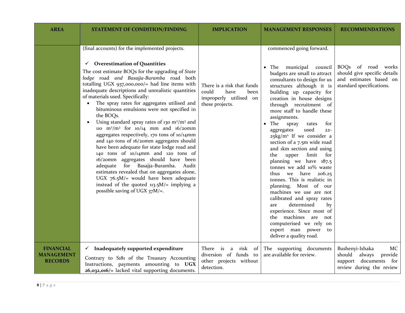| <b>AREA</b>                                             | <b>STATEMENT OF CONDITION/FINDING</b>                                                                                                                                                                                                                                                                                                                                                                                                                                                                                                                                                                                                                                                                                                                                                                                                                                                                                                                                                                                                                        | <b>IMPLICATION</b>                                                                               | <b>MANAGEMENT RESPONSES</b>                                                                                                                                                                                                                                                                                                                                                                                                                                                                                                                                                                                                                                                                                                                                                                                                                          | <b>RECOMMENDATIONS</b>                                                                                       |
|---------------------------------------------------------|--------------------------------------------------------------------------------------------------------------------------------------------------------------------------------------------------------------------------------------------------------------------------------------------------------------------------------------------------------------------------------------------------------------------------------------------------------------------------------------------------------------------------------------------------------------------------------------------------------------------------------------------------------------------------------------------------------------------------------------------------------------------------------------------------------------------------------------------------------------------------------------------------------------------------------------------------------------------------------------------------------------------------------------------------------------|--------------------------------------------------------------------------------------------------|------------------------------------------------------------------------------------------------------------------------------------------------------------------------------------------------------------------------------------------------------------------------------------------------------------------------------------------------------------------------------------------------------------------------------------------------------------------------------------------------------------------------------------------------------------------------------------------------------------------------------------------------------------------------------------------------------------------------------------------------------------------------------------------------------------------------------------------------------|--------------------------------------------------------------------------------------------------------------|
|                                                         | (final accounts) for the implemented projects.<br><b>Overestimation of Quantities</b><br>$\checkmark$<br>The cost estimate BOQs for the upgrading of State<br>lodge road and Basajja-Buramba road both<br>totalling UGX 937,000,000/= had line items with<br>inadequate descriptions and unrealistic quantities<br>of materials used. Specifically:<br>The spray rates for aggregates utilised and<br>$\bullet$<br>bituminous emulsions were not specified in<br>the BOQs.<br>Using standard spray rates of 130 $m2/m3$ and<br>$\bullet$<br>110 m <sup>2</sup> /m <sup>3</sup> for $10/14$ mm and $16/2$ omm<br>aggregates respectively, 170 tons of 10/14mm<br>and 140 tons of 16/20mm aggregates should<br>have been adequate for state lodge road and<br>140 tons of 10/14mm and 120 tons of<br>16/20mm aggregates should have been<br>adequate for Basajja-Buramba. Audit<br>estimates revealed that on aggregates alone,<br>UGX $76.5M$ /= would have been adequate<br>instead of the quoted $113.5M$ /= implying a<br>possible saving of UGX $37M$ /=. | There is a risk that funds<br>could<br>have<br>been<br>improperly utilised on<br>these projects. | commenced going forward.<br>municipal<br>The<br>council<br>budgets are small to attract<br>consultants to design for us<br>structures although it is<br>building up capacity for<br>creation in house designs<br>through recruitment of<br>more staff to handle these<br>assignments.<br>The<br>spray<br>rates<br>for<br>used<br>aggregates<br>$22 -$<br>$25\text{kg/m}^2$ If we consider a<br>section of a 7.5m wide road<br>and 1km section and using<br>upper<br>the<br>limit<br>for<br>planning we have 187.5<br>tonnes we add 10% waste<br>thus we have $206.25$<br>tonnes. This is realistic in<br>planning. Most of our<br>machines we use are not<br>calibrated and spray rates<br>determined<br>by<br>are<br>experience. Since most of<br>the machines are not<br>computerised we rely on<br>expert man power to<br>deliver a quality road. | BOQs of road works<br>should give specific details<br>and estimates based on<br>standard specifications.     |
| <b>FINANCIAL</b><br><b>MANAGEMENT</b><br><b>RECORDS</b> | $\checkmark$ Inadequately supported expenditure<br>Contrary to S181 of the Treasury Accounting<br>Instructions, payments amounting to UGX<br>$26,032,016$ = lacked vital supporting documents.                                                                                                                                                                                                                                                                                                                                                                                                                                                                                                                                                                                                                                                                                                                                                                                                                                                               | There is<br>a risk<br>of<br>diversion of funds to<br>other projects without<br>detection.        | The supporting documents<br>are available for review.                                                                                                                                                                                                                                                                                                                                                                                                                                                                                                                                                                                                                                                                                                                                                                                                | Bushenyi-Ishaka<br>MC<br>should<br>always<br>provide<br>support documents<br>for<br>review during the review |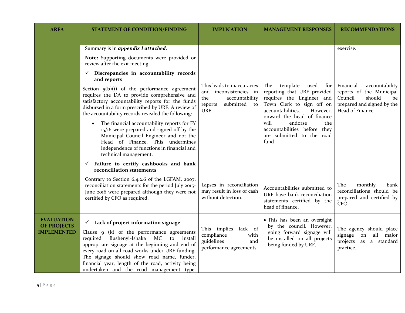| <b>AREA</b>                                                   | <b>STATEMENT OF CONDITION/FINDING</b>                                                                                                                                                                                                                                                                                                                                                                                                                                                                                                                                               | <b>IMPLICATION</b>                                                                                                                   | <b>MANAGEMENT RESPONSES</b>                                                                                                                    | <b>RECOMMENDATIONS</b>                                                                       |
|---------------------------------------------------------------|-------------------------------------------------------------------------------------------------------------------------------------------------------------------------------------------------------------------------------------------------------------------------------------------------------------------------------------------------------------------------------------------------------------------------------------------------------------------------------------------------------------------------------------------------------------------------------------|--------------------------------------------------------------------------------------------------------------------------------------|------------------------------------------------------------------------------------------------------------------------------------------------|----------------------------------------------------------------------------------------------|
|                                                               |                                                                                                                                                                                                                                                                                                                                                                                                                                                                                                                                                                                     |                                                                                                                                      |                                                                                                                                                |                                                                                              |
|                                                               | Summary is in appendix I attached.                                                                                                                                                                                                                                                                                                                                                                                                                                                                                                                                                  |                                                                                                                                      |                                                                                                                                                | exercise.                                                                                    |
|                                                               | Note: Supporting documents were provided or<br>review after the exit meeting.                                                                                                                                                                                                                                                                                                                                                                                                                                                                                                       |                                                                                                                                      |                                                                                                                                                |                                                                                              |
|                                                               | $\checkmark$ Discrepancies in accountability records<br>and reports                                                                                                                                                                                                                                                                                                                                                                                                                                                                                                                 |                                                                                                                                      |                                                                                                                                                |                                                                                              |
|                                                               | This leads to inaccuracies<br>template<br>The<br>used<br>for<br>Section $5(b)(i)$ of the performance agreement<br>reporting that URF provided<br>inconsistencies in<br>and<br>requires the DA to provide comprehensive and<br>requires the Engineer and<br>the<br>accountability<br>satisfactory accountability reports for the funds<br>Town Clerk to sign off on<br>submitted<br>to<br>reports<br>disbursed in a form prescribed by URF. A review of<br>URF.<br>accountabilities.<br>However,<br>the accountability records revealed the following:<br>onward the head of finance | Financial<br>accountability<br>reports of the Municipal<br>Council<br>should<br>be<br>prepared and signed by the<br>Head of Finance. |                                                                                                                                                |                                                                                              |
|                                                               | The financial accountability reports for FY<br>$\bullet$<br>15/16 were prepared and signed off by the<br>Municipal Council Engineer and not the<br>Head of Finance. This undermines<br>independence of functions in financial and<br>technical management.                                                                                                                                                                                                                                                                                                                          |                                                                                                                                      | will<br>endorse<br>the<br>accountabilities before they<br>are submitted to the road<br>fund                                                    |                                                                                              |
|                                                               | $\checkmark$ Failure to certify cashbooks and bank<br>reconciliation statements                                                                                                                                                                                                                                                                                                                                                                                                                                                                                                     |                                                                                                                                      |                                                                                                                                                |                                                                                              |
|                                                               | Contrary to Section 6.4.2.6 of the LGFAM, 2007,<br>reconciliation statements for the period July 2015-<br>June 2016 were prepared although they were not<br>certified by CFO as required.                                                                                                                                                                                                                                                                                                                                                                                           | Lapses in reconciliation<br>may result in loss of cash<br>without detection.                                                         | Accountabilities submitted to<br>URF have bank reconciliation<br>statements certified by the<br>head of finance.                               | monthly<br>The<br>bank<br>reconciliations should be<br>prepared and certified by<br>CFO.     |
| <b>EVALUATION</b><br><b>OF PROJECTS</b><br><b>IMPLEMENTED</b> | $\checkmark$ Lack of project information signage<br>Clause $9$ (k) of the performance agreements<br>Bushenyi-Ishaka<br>required<br>MC<br>install<br>to<br>appropriate signage at the beginning and end of<br>every road on all road works under URF funding.<br>The signage should show road name, funder,<br>financial year, length of the road, activity being<br>undertaken and the road management type.                                                                                                                                                                        | This implies<br>lack of<br>compliance<br>with<br>guidelines<br>and<br>performance agreements.                                        | • This has been an oversight<br>by the council. However,<br>going forward signage will<br>be installed on all projects<br>being funded by URF. | The agency should place<br>all major<br>signage<br>on<br>projects as a standard<br>practice. |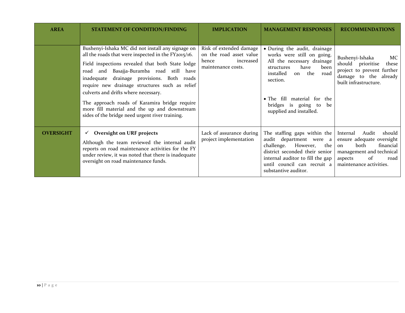| <b>AREA</b>      | <b>STATEMENT OF CONDITION/FINDING</b>                                                                                                                                                                                                                                                                                                                                                                                                                                                                      | <b>IMPLICATION</b>                                                                             | <b>MANAGEMENT RESPONSES</b>                                                                                                                                                                                                                              | <b>RECOMMENDATIONS</b>                                                                                                                                                       |
|------------------|------------------------------------------------------------------------------------------------------------------------------------------------------------------------------------------------------------------------------------------------------------------------------------------------------------------------------------------------------------------------------------------------------------------------------------------------------------------------------------------------------------|------------------------------------------------------------------------------------------------|----------------------------------------------------------------------------------------------------------------------------------------------------------------------------------------------------------------------------------------------------------|------------------------------------------------------------------------------------------------------------------------------------------------------------------------------|
|                  | Bushenyi-Ishaka MC did not install any signage on<br>all the roads that were inspected in the FY2015/16.<br>Field inspections revealed that both State lodge<br>Basajja-Buramba road still have<br>and<br>road<br>inadequate drainage provisions. Both roads<br>require new drainage structures such as relief<br>culverts and drifts where necessary.<br>The approach roads of Karamira bridge require<br>more fill material and the up and downstream<br>sides of the bridge need urgent river training. | Risk of extended damage<br>on the road asset value<br>increased<br>hence<br>maintenance costs. | • During the audit, drainage<br>works were still on going.<br>All the necessary drainage<br>have<br>structures<br>been<br>the road<br>installed<br>on<br>section.<br>• The fill material for the<br>bridges is going to<br>be<br>supplied and installed. | Bushenyi-Ishaka<br>MC<br>should prioritise<br>these<br>project to prevent further<br>damage to the already<br>built infrastructure.                                          |
| <b>OVERSIGHT</b> | $\checkmark$ Oversight on URF projects<br>Although the team reviewed the internal audit<br>reports on road maintenance activities for the FY<br>under review, it was noted that there is inadequate<br>oversight on road maintenance funds.                                                                                                                                                                                                                                                                | Lack of assurance during<br>project implementation                                             | The staffing gaps within the<br>audit department were a<br>challenge. However, the<br>district seconded their senior<br>internal auditor to fill the gap<br>until council can recruit a<br>substantive auditor.                                          | Audit<br>should<br>Internal<br>ensure adequate oversight<br>financial<br>both<br>$_{\rm on}$<br>management and technical<br>of<br>aspects<br>road<br>maintenance activities. |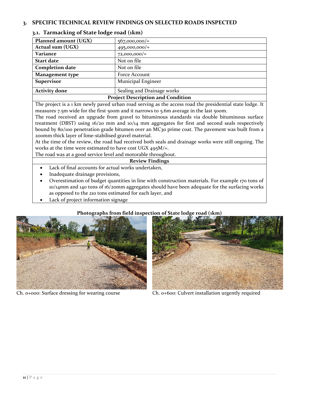## <span id="page-10-1"></span><span id="page-10-0"></span>**3. SPECIFIC TECHNICAL REVIEW FINDINGS ON SELECTED ROADS INSPECTED**

| Planned amount (UGX)                     | $567,000,000/=$            |  |
|------------------------------------------|----------------------------|--|
| Actual sum (UGX)                         | $495,000,000/$ =           |  |
| Variance                                 | $72,000,000/$ =            |  |
| <b>Start date</b>                        | Not on file                |  |
| <b>Completion date</b>                   | Not on file                |  |
| <b>Management type</b>                   | Force Account              |  |
| <b>Supervisor</b>                        | Municipal Engineer         |  |
| <b>Activity done</b>                     | Sealing and Drainage works |  |
| <b>Project Description and Condition</b> |                            |  |

#### **3.1. Tarmacking of State lodge road (1km)**

The project is a 1 km newly paved urban road serving as the access road the presidential state lodge. It measures 7.5m wide for the first 500m and it narrows to 5.6m average in the last 500m.

The road received an upgrade from gravel to bituminous standards via double bituminous surface treatment (DBST) using 16/20 mm and 10/14 mm aggregates for first and second seals respectively bound by 80/100 penetration grade bitumen over an MC30 prime coat. The pavement was built from a 200mm thick layer of lime-stabilised gravel material.

At the time of the review, the road had received both seals and drainage works were still ongoing. The works at the time were estimated to have cost UGX  $495M/\text{m}$ .

The road was at a good service level and motorable throughout.

#### **Review Findings**

- Lack of final accounts for actual works undertaken,
- Inadequate drainage provisions,
- Overestimation of budget quantities in line with construction materials. For example 170 tons of 10/14mm and 140 tons of 16/20mm aggregates should have been adequate for the surfacing works as opposed to the 210 tons estimated for each layer, and
- Lack of project information signage

#### **Photographs from field inspection of State lodge road (1km)**



Ch. 0+000: Surface dressing for wearing course Ch. 0+600: Culvert installation urgently required

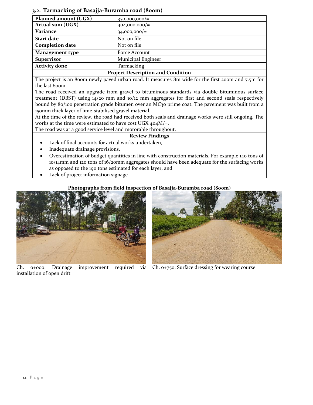#### <span id="page-11-0"></span>**3.2. Tarmacking of Basajja-Buramba road (800m)**

| Planned amount (UGX)                                                                                                                     | $370,000,000/$ =   |  |
|------------------------------------------------------------------------------------------------------------------------------------------|--------------------|--|
| Actual sum (UGX)                                                                                                                         | $404,000,000/$ =   |  |
| Variance                                                                                                                                 | $34,000,000/=$     |  |
| <b>Start date</b>                                                                                                                        | Not on file        |  |
| <b>Completion date</b>                                                                                                                   | Not on file        |  |
| <b>Management type</b>                                                                                                                   | Force Account      |  |
| <b>Supervisor</b>                                                                                                                        | Municipal Engineer |  |
| <b>Activity done</b>                                                                                                                     | Tarmacking         |  |
| $\mathbf{p}$ is $\mathbf{p}$ in the set of $\mathbf{p}$ is the set of $\mathbf{p}$ is the set of $\mathbf{p}$ is the set of $\mathbf{p}$ |                    |  |

#### **Project Description and Condition**

The project is an 800m newly paved urban road. It measures 8m wide for the first 200m and 7.5m for the last 600m.

The road received an upgrade from gravel to bituminous standards via double bituminous surface treatment (DBST) using  $14/20$  mm and  $10/12$  mm aggregates for first and second seals respectively bound by 80/100 penetration grade bitumen over an MC30 prime coat. The pavement was built from a 150mm thick layer of lime-stabilised gravel material.

At the time of the review, the road had received both seals and drainage works were still ongoing. The works at the time were estimated to have cost UGX 404M/=.

The road was at a good service level and motorable throughout.

#### **Review Findings**

- Lack of final accounts for actual works undertaken,
- Inadequate drainage provisions,
- Overestimation of budget quantities in line with construction materials. For example 140 tons of 10/14mm and 120 tons of 16/20mm aggregates should have been adequate for the surfacing works as opposed to the 190 tons estimated for each layer, and
- Lack of project information signage

#### **Photographs from field inspection of Basajja-Buramba road (800m)**



Ch. 0+000: Drainage improvement required via Ch. 0+750: Surface dressing for wearing courseinstallation of open drift

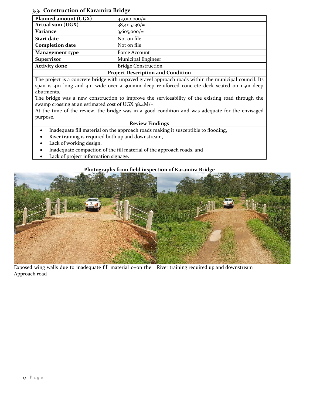#### <span id="page-12-0"></span>**3.3. Construction of Karamira Bridge**

| Planned amount (UGX)   | $42,010,000/$ =            |
|------------------------|----------------------------|
| Actual sum (UGX)       | $38,405,136/=$             |
| Variance               | $3,605,000/=$              |
| <b>Start date</b>      | Not on file                |
| <b>Completion date</b> | Not on file                |
| <b>Management type</b> | Force Account              |
| <b>Supervisor</b>      | Municipal Engineer         |
| <b>Activity done</b>   | <b>Bridge Construction</b> |

#### **Project Description and Condition**

The project is a concrete bridge with unpaved gravel approach roads within the municipal council. Its span is 4m long and 3m wide over a 300mm deep reinforced concrete deck seated on 1.5m deep abutments.

The bridge was a new construction to improve the serviceability of the existing road through the swamp crossing at an estimated cost of UGX  $38.4M$ /=.

At the time of the review, the bridge was in a good condition and was adequate for the envisaged purpose.

#### **Review Findings**

- Inadequate fill material on the approach roads making it susceptible to flooding,
- River training is required both up and downstream,
- Lack of working design,
- Inadequate compaction of the fill material of the approach roads, and
- Lack of project information signage.

#### **Photographs from field inspection of Karamira Bridge**



Exposed wing walls due to inadequate fill material o=on the River training required up and downstreamApproach road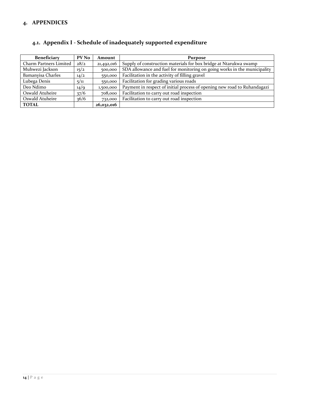## <span id="page-13-0"></span>**4. APPENDICES**

| PV No<br><b>Beneficiary</b> |      | Amount     | <b>Purpose</b>                                                           |  |  |
|-----------------------------|------|------------|--------------------------------------------------------------------------|--|--|
| Charm Partners Limited      | 28/2 | 21,492,016 | Supply of construction materials for box bridge at Ntarukwa swamp        |  |  |
| Muhwezi Jackson             | 15/2 | 500,000    | SDA allowance and fuel for monitoring on going works in the municipality |  |  |
| Bamanyisa Charles           | 14/2 | 550,000    | Facilitation in the activity of filling gravel                           |  |  |
| Lubega Denis                | 5/11 | 550,000    | Facilitation for grading various roads                                   |  |  |
| Deo Ndimo                   | 14/9 | 1,500,000  | Payment in respect of initial process of opening new road to Ruhandagazi |  |  |
| Oswald Atuheire             | 37/6 | 708,000    | Facilitation to carry out road inspection                                |  |  |
| Oswald Atuheire             | 36/6 | 732,000    | Facilitation to carry out road inspection                                |  |  |
| <b>TOTAL</b>                |      | 26,032,016 |                                                                          |  |  |

# <span id="page-13-1"></span>**4.1. Appendix I - Schedule of inadequately supported expenditure**